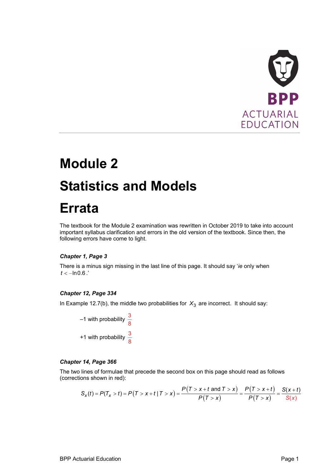

# **Module 2 Statistics and Models**

## **Errata**

The textbook for the Module 2 examination was rewritten in October 2019 to take into account important syllabus clarification and errors in the old version of the textbook. Since then, the following errors have come to light.

### *Chapter 1, Page 3*

There is a minus sign missing in the last line of this page. It should say '*ie* only when  $t < -ln 0.6$ .'

#### *Chapter 12, Page 334*

In Example 12.7(b), the middle two probabilities for  $X_3$  are incorrect. It should say:

 $-1$  with probability  $\frac{3}{8}$ +1 with probability  $\frac{3}{8}$ 

#### *Chapter 14, Page 366*

The two lines of formulae that precede the second box on this page should read as follows (corrections shown in red):

$$
S_x(t) = P(T_x > t) = P(T > x + t | T > x) = \frac{P(T > x + t \text{ and } T > x)}{P(T > x)} = \frac{P(T > x + t)}{P(T > x)} = \frac{S(x + t)}{S(x)}
$$